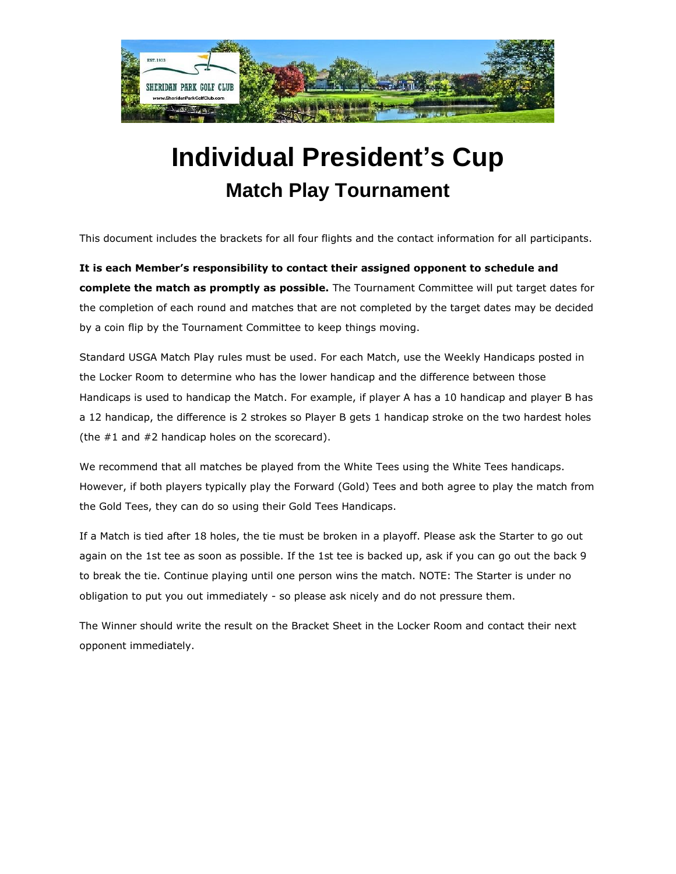

## **Individual President's Cup Match Play Tournament**

This document includes the brackets for all four flights and the contact information for all participants.

**It is each Member's responsibility to contact their assigned opponent to schedule and complete the match as promptly as possible.** The Tournament Committee will put target dates for the completion of each round and matches that are not completed by the target dates may be decided by a coin flip by the Tournament Committee to keep things moving.

Standard USGA Match Play rules must be used. For each Match, use the Weekly Handicaps posted in the Locker Room to determine who has the lower handicap and the difference between those Handicaps is used to handicap the Match. For example, if player A has a 10 handicap and player B has a 12 handicap, the difference is 2 strokes so Player B gets 1 handicap stroke on the two hardest holes (the #1 and #2 handicap holes on the scorecard).

We recommend that all matches be played from the White Tees using the White Tees handicaps. However, if both players typically play the Forward (Gold) Tees and both agree to play the match from the Gold Tees, they can do so using their Gold Tees Handicaps.

If a Match is tied after 18 holes, the tie must be broken in a playoff. Please ask the Starter to go out again on the 1st tee as soon as possible. If the 1st tee is backed up, ask if you can go out the back 9 to break the tie. Continue playing until one person wins the match. NOTE: The Starter is under no obligation to put you out immediately - so please ask nicely and do not pressure them.

The Winner should write the result on the Bracket Sheet in the Locker Room and contact their next opponent immediately.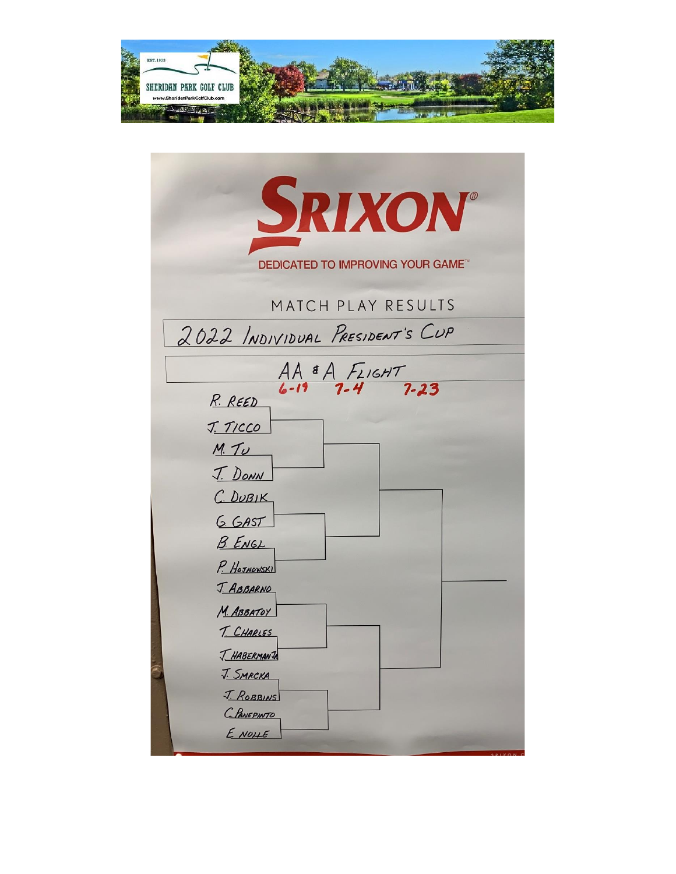

| SRIXON®                                  |  |  |  |  |
|------------------------------------------|--|--|--|--|
| <b>DEDICATED TO IMPROVING YOUR GAME™</b> |  |  |  |  |
| MATCH PLAY RESULTS                       |  |  |  |  |
| 2022 INDIVIDUAL PRESIDENT'S CUP          |  |  |  |  |
| $AA$ & A $F_{L1GHT}$<br>6-19 7-4 7-23    |  |  |  |  |
| R. REED                                  |  |  |  |  |
| J. TICCO                                 |  |  |  |  |
| M. TU                                    |  |  |  |  |
| <u>J. DONN</u>                           |  |  |  |  |
| C. DUBIK                                 |  |  |  |  |
| G. GAST                                  |  |  |  |  |
| <b>B. ENGL</b>                           |  |  |  |  |
| P. HOJNOWSKI                             |  |  |  |  |
| <u>J. ABBARNO</u>                        |  |  |  |  |
| M. ABBATOY<br>T. CHARLES                 |  |  |  |  |
| T. HABERMANTA                            |  |  |  |  |
| <u>J. SMRCKA</u>                         |  |  |  |  |
| J. ROBBINS                               |  |  |  |  |
| C. PANEPINTO                             |  |  |  |  |
| E NOME                                   |  |  |  |  |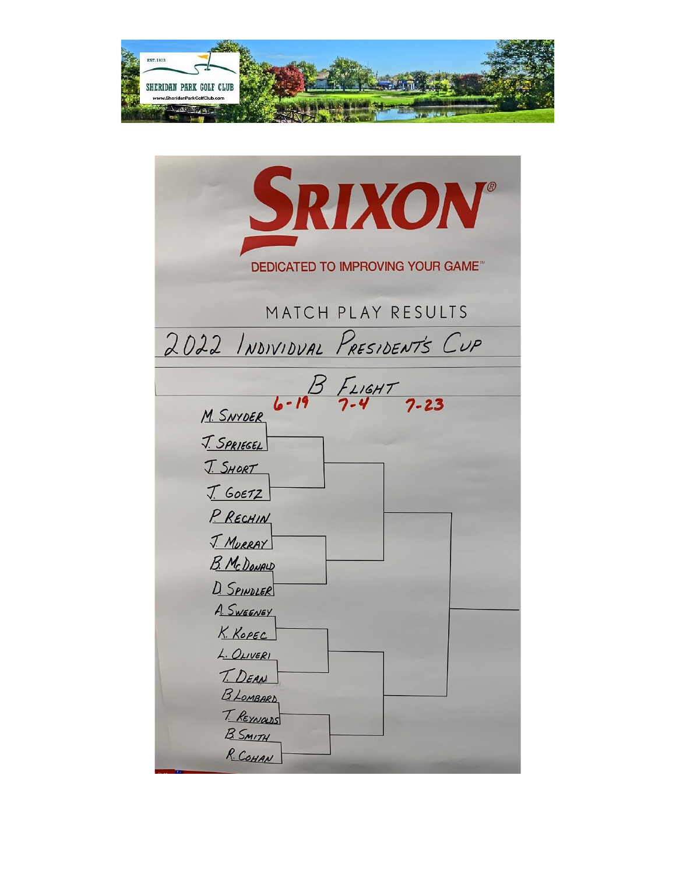

| SRIXON®                                                                                                                                     |  |  |  |  |
|---------------------------------------------------------------------------------------------------------------------------------------------|--|--|--|--|
| <b>DEDICATED TO IMPROVING YOUR GAME™</b>                                                                                                    |  |  |  |  |
| MATCH PLAY RESULTS                                                                                                                          |  |  |  |  |
| 2022 INDIVIDUAL PRESIDENTS CUP                                                                                                              |  |  |  |  |
|                                                                                                                                             |  |  |  |  |
| M. SNYDER 6-19 7-4 7-23<br><u>J. SPRIEGEL</u><br>J. SHORT<br>I. 60E72<br>P. RECHIN<br><u>J. MURRAY</u><br><b>B. McDONALD</b><br>D. SPINDLER |  |  |  |  |
| A. SWEENEY<br>K. KOPEC<br>L. OLIVERI<br>T. DEAN<br><b>BLOMBARD</b><br>T. REYNOLDS<br><b>B. SMITH</b><br>R. COHAN                            |  |  |  |  |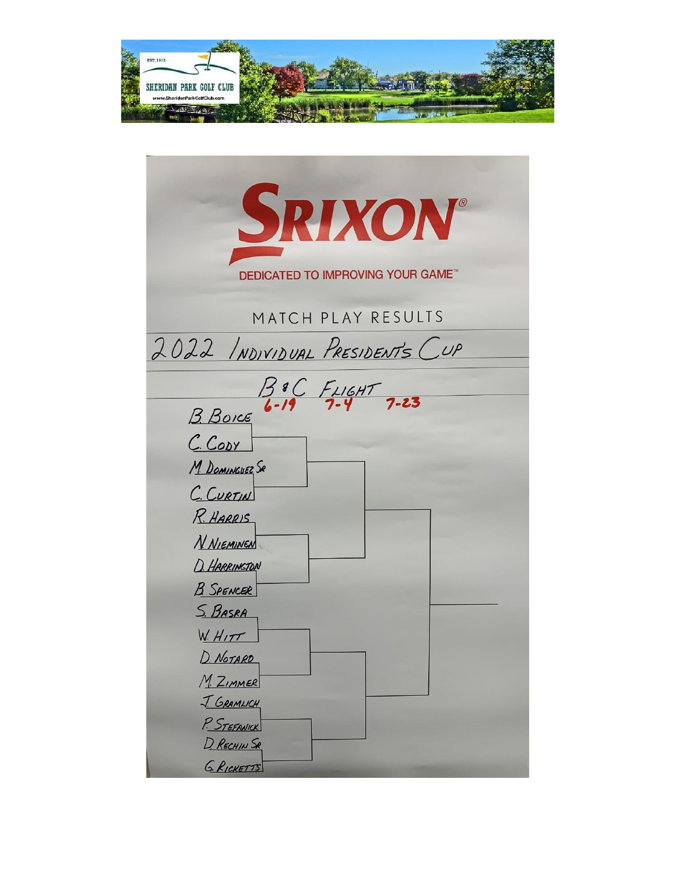

| SRIXON®                                  |
|------------------------------------------|
|                                          |
| <b>DEDICATED TO IMPROVING YOUR GAME"</b> |
|                                          |
| MATCH PLAY RESULTS                       |
| 2022 INDIVIDUAL PRESIDENTS CUP           |
|                                          |
| $39C$ FLIGHT<br>B. Boice 6-19 7-4 7-23   |
|                                          |
| C. CODY                                  |
| M. DOMINGUEZ SR                          |
| C. CURTIN                                |
| R. HARRIS                                |
| <b>N NIEMINEN</b>                        |
| D. HARRINGTON                            |
| <b>B</b> SPENCER                         |
| <u>S. BASRA</u>                          |
| <u>W. HITT</u>                           |
| D. NOTARD                                |
| M. ZIMMER                                |
| <u>J. GRAMLICH</u>                       |
| P. STEFANICK                             |
| D. RECHIN SR                             |
| G. RICKETTS                              |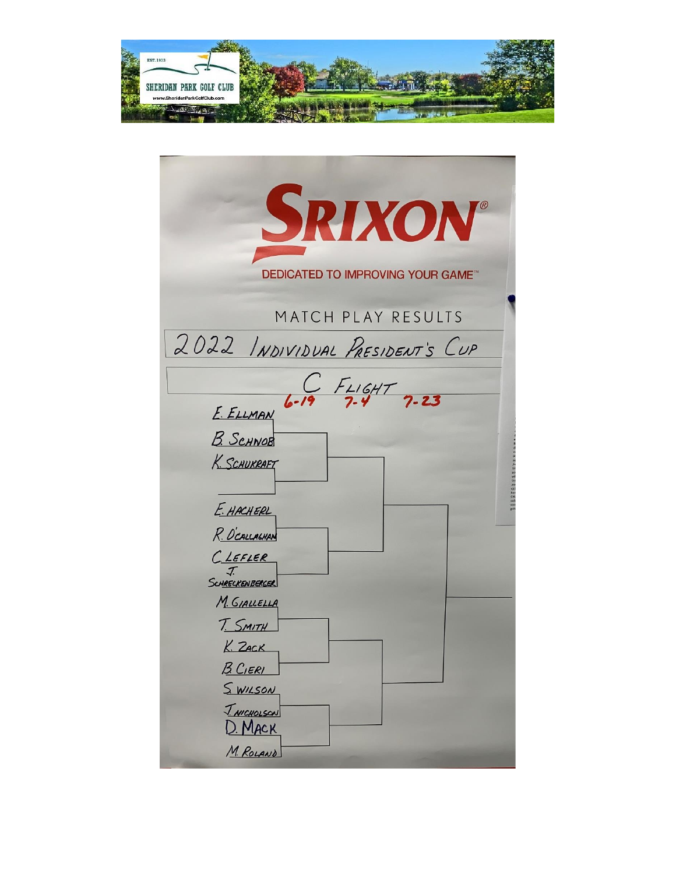

| SRIXON®                                     |
|---------------------------------------------|
| <b>DEDICATED TO IMPROVING YOUR GAME</b>     |
| MATCH PLAY RESULTS                          |
| 2022 INDIVIDUAL PRESIDENT'S CUP             |
| $E.ELLMAN$ 6-19 7-4 7-23                    |
| <b>B.</b> SCHNOB                            |
| K. SCHUKRAFT                                |
|                                             |
| E. HACHERL                                  |
| R. O'CALLALHAN                              |
| CLEFLER<br>J                                |
| SCHRECKENBERGER                             |
| M. GIALLELLA                                |
| T. SMITH                                    |
| K. ZACK                                     |
| <u>B. Cieri</u>                             |
| <u>SWILSON</u><br><u><i>J NICHOLSON</i></u> |
| D. MACK                                     |
| M. ROLAND                                   |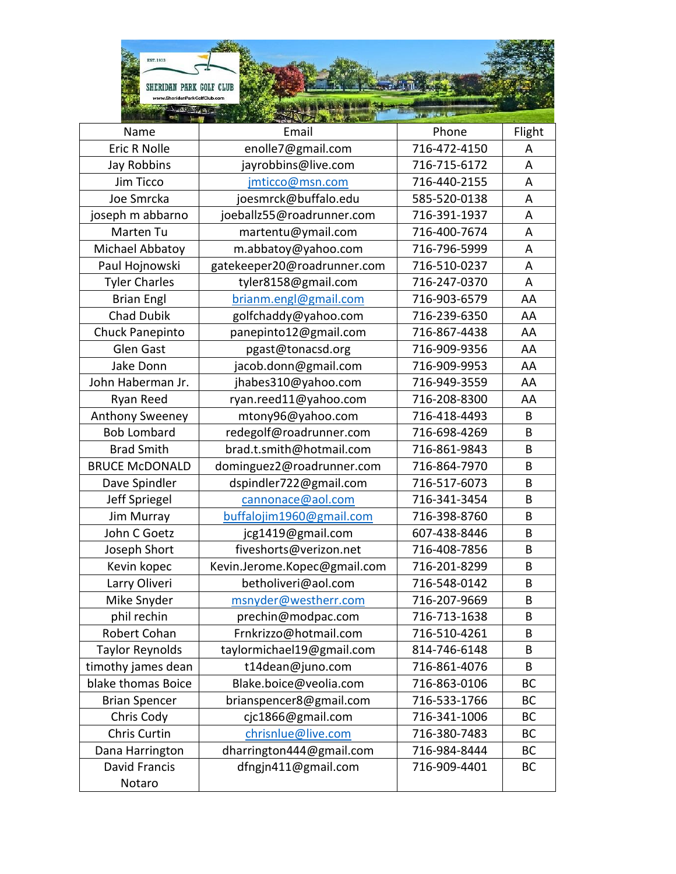| EST. 1933<br>SHERIDAN PARK GOLF CLUB<br>www.SheridanParkGolfClub.com |                              |              |        |
|----------------------------------------------------------------------|------------------------------|--------------|--------|
| $-2222$                                                              |                              |              |        |
| Name                                                                 | Email                        | Phone        | Flight |
| <b>Eric R Nolle</b>                                                  | enolle7@gmail.com            | 716-472-4150 | Α      |
| Jay Robbins                                                          | jayrobbins@live.com          | 716-715-6172 | A      |
| Jim Ticco                                                            | jmticco@msn.com              | 716-440-2155 | A      |
| Joe Smrcka                                                           | joesmrck@buffalo.edu         | 585-520-0138 | A      |
| joseph m abbarno                                                     | joeballz55@roadrunner.com    | 716-391-1937 | A      |
| Marten Tu                                                            | martentu@ymail.com           | 716-400-7674 | A      |
| Michael Abbatoy                                                      | m.abbatoy@yahoo.com          | 716-796-5999 | A      |
| Paul Hojnowski                                                       | gatekeeper20@roadrunner.com  | 716-510-0237 | Α      |
| <b>Tyler Charles</b>                                                 | tyler8158@gmail.com          | 716-247-0370 | A      |
| <b>Brian Engl</b>                                                    | brianm.engl@gmail.com        | 716-903-6579 | AA     |
| <b>Chad Dubik</b>                                                    | golfchaddy@yahoo.com         | 716-239-6350 | AA     |
| Chuck Panepinto                                                      | panepinto12@gmail.com        | 716-867-4438 | AA     |
| Glen Gast                                                            | pgast@tonacsd.org            | 716-909-9356 | AA     |
| Jake Donn                                                            | jacob.donn@gmail.com         | 716-909-9953 | AA     |
| John Haberman Jr.                                                    | jhabes310@yahoo.com          | 716-949-3559 | AA     |
| Ryan Reed                                                            | ryan.reed11@yahoo.com        | 716-208-8300 | AA     |
| <b>Anthony Sweeney</b>                                               | mtony96@yahoo.com            | 716-418-4493 | B      |
| <b>Bob Lombard</b>                                                   | redegolf@roadrunner.com      | 716-698-4269 | B      |
| <b>Brad Smith</b>                                                    | brad.t.smith@hotmail.com     | 716-861-9843 | B      |
| <b>BRUCE McDONALD</b>                                                | dominguez2@roadrunner.com    | 716-864-7970 | B      |
| Dave Spindler                                                        | dspindler722@gmail.com       | 716-517-6073 | B      |
| Jeff Spriegel                                                        | cannonace@aol.com            | 716-341-3454 | B      |
| Jim Murray                                                           | buffalojim1960@gmail.com     | 716-398-8760 | B      |
| John C Goetz                                                         | jcg1419@gmail.com            | 607-438-8446 | В      |
| Joseph Short                                                         | fiveshorts@verizon.net       | 716-408-7856 | B      |
| Kevin kopec                                                          | Kevin.Jerome.Kopec@gmail.com | 716-201-8299 | B      |
| Larry Oliveri                                                        | betholiveri@aol.com          | 716-548-0142 | B      |
| Mike Snyder                                                          | msnyder@westherr.com         | 716-207-9669 | В      |
| phil rechin                                                          | prechin@modpac.com           | 716-713-1638 | B      |
| Robert Cohan                                                         | Frnkrizzo@hotmail.com        | 716-510-4261 | B      |
| <b>Taylor Reynolds</b>                                               | taylormichael19@gmail.com    | 814-746-6148 | B      |
| timothy james dean                                                   | t14dean@juno.com             | 716-861-4076 | B      |
| blake thomas Boice                                                   | Blake.boice@veolia.com       | 716-863-0106 | BC     |
| <b>Brian Spencer</b>                                                 | brianspencer8@gmail.com      | 716-533-1766 | BC     |
| Chris Cody                                                           | cjc1866@gmail.com            | 716-341-1006 | BC     |
| Chris Curtin                                                         | chrisnlue@live.com           | 716-380-7483 | BC     |
| Dana Harrington                                                      | dharrington444@gmail.com     | 716-984-8444 | BC     |
| <b>David Francis</b>                                                 | dfngjn411@gmail.com          | 716-909-4401 | ВC     |
| Notaro                                                               |                              |              |        |